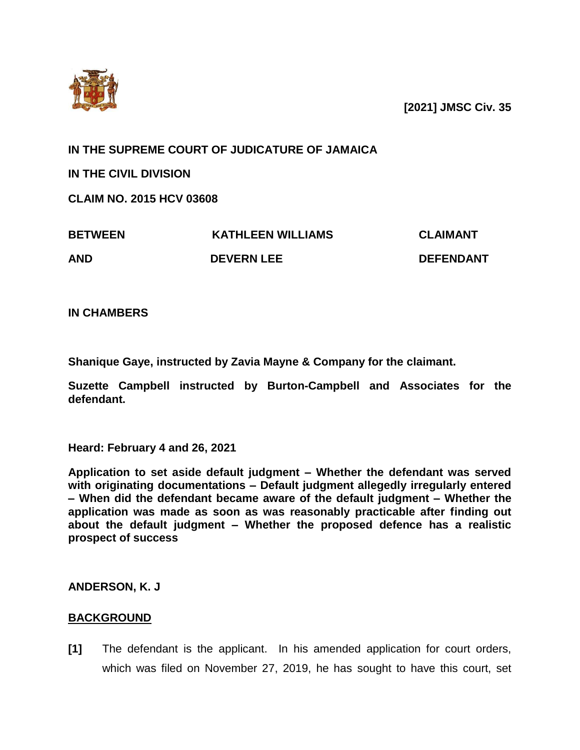

**[2021] JMSC Civ. 35**

**IN THE SUPREME COURT OF JUDICATURE OF JAMAICA**

**IN THE CIVIL DIVISION**

**CLAIM NO. 2015 HCV 03608**

| <b>BETWEEN</b> | <b>KATHLEEN WILLIAMS</b> | <b>CLAIMANT</b>  |
|----------------|--------------------------|------------------|
| AND            | <b>DEVERN LEE</b>        | <b>DEFENDANT</b> |

**IN CHAMBERS**

**Shanique Gaye, instructed by Zavia Mayne & Company for the claimant.**

**Suzette Campbell instructed by Burton-Campbell and Associates for the defendant.**

**Heard: February 4 and 26, 2021** 

**Application to set aside default judgment – Whether the defendant was served with originating documentations – Default judgment allegedly irregularly entered – When did the defendant became aware of the default judgment – Whether the application was made as soon as was reasonably practicable after finding out about the default judgment – Whether the proposed defence has a realistic prospect of success** 

**ANDERSON, K. J**

# **BACKGROUND**

**[1]** The defendant is the applicant. In his amended application for court orders, which was filed on November 27, 2019, he has sought to have this court, set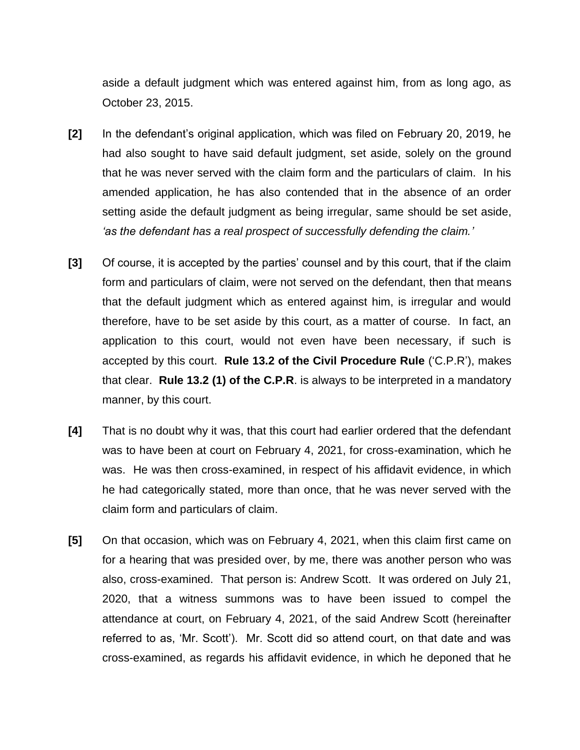aside a default judgment which was entered against him, from as long ago, as October 23, 2015.

- **[2]** In the defendant's original application, which was filed on February 20, 2019, he had also sought to have said default judgment, set aside, solely on the ground that he was never served with the claim form and the particulars of claim. In his amended application, he has also contended that in the absence of an order setting aside the default judgment as being irregular, same should be set aside, *'as the defendant has a real prospect of successfully defending the claim.'*
- **[3]** Of course, it is accepted by the parties' counsel and by this court, that if the claim form and particulars of claim, were not served on the defendant, then that means that the default judgment which as entered against him, is irregular and would therefore, have to be set aside by this court, as a matter of course. In fact, an application to this court, would not even have been necessary, if such is accepted by this court. **Rule 13.2 of the Civil Procedure Rule** ('C.P.R'), makes that clear. **Rule 13.2 (1) of the C.P.R**. is always to be interpreted in a mandatory manner, by this court.
- **[4]** That is no doubt why it was, that this court had earlier ordered that the defendant was to have been at court on February 4, 2021, for cross-examination, which he was. He was then cross-examined, in respect of his affidavit evidence, in which he had categorically stated, more than once, that he was never served with the claim form and particulars of claim.
- **[5]** On that occasion, which was on February 4, 2021, when this claim first came on for a hearing that was presided over, by me, there was another person who was also, cross-examined. That person is: Andrew Scott. It was ordered on July 21, 2020, that a witness summons was to have been issued to compel the attendance at court, on February 4, 2021, of the said Andrew Scott (hereinafter referred to as, 'Mr. Scott'). Mr. Scott did so attend court, on that date and was cross-examined, as regards his affidavit evidence, in which he deponed that he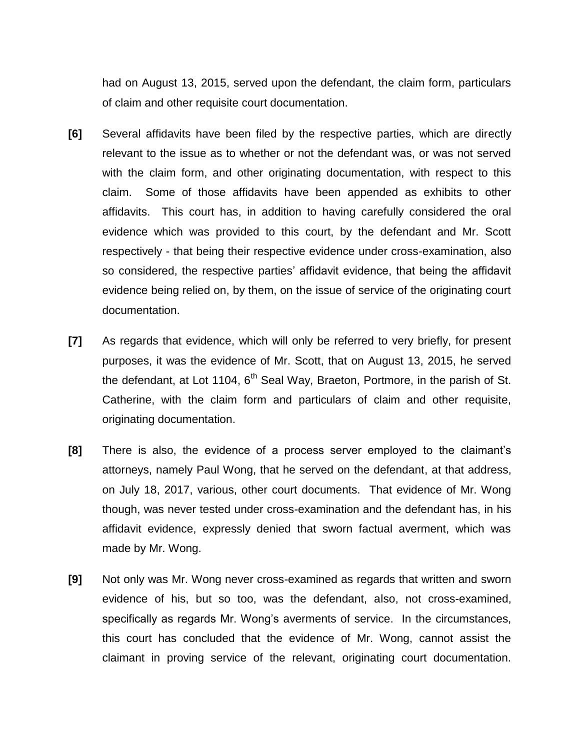had on August 13, 2015, served upon the defendant, the claim form, particulars of claim and other requisite court documentation.

- **[6]** Several affidavits have been filed by the respective parties, which are directly relevant to the issue as to whether or not the defendant was, or was not served with the claim form, and other originating documentation, with respect to this claim. Some of those affidavits have been appended as exhibits to other affidavits. This court has, in addition to having carefully considered the oral evidence which was provided to this court, by the defendant and Mr. Scott respectively - that being their respective evidence under cross-examination, also so considered, the respective parties' affidavit evidence, that being the affidavit evidence being relied on, by them, on the issue of service of the originating court documentation.
- **[7]** As regards that evidence, which will only be referred to very briefly, for present purposes, it was the evidence of Mr. Scott, that on August 13, 2015, he served the defendant, at Lot 1104,  $6<sup>th</sup>$  Seal Way, Braeton, Portmore, in the parish of St. Catherine, with the claim form and particulars of claim and other requisite, originating documentation.
- **[8]** There is also, the evidence of a process server employed to the claimant's attorneys, namely Paul Wong, that he served on the defendant, at that address, on July 18, 2017, various, other court documents. That evidence of Mr. Wong though, was never tested under cross-examination and the defendant has, in his affidavit evidence, expressly denied that sworn factual averment, which was made by Mr. Wong.
- **[9]** Not only was Mr. Wong never cross-examined as regards that written and sworn evidence of his, but so too, was the defendant, also, not cross-examined, specifically as regards Mr. Wong's averments of service. In the circumstances, this court has concluded that the evidence of Mr. Wong, cannot assist the claimant in proving service of the relevant, originating court documentation.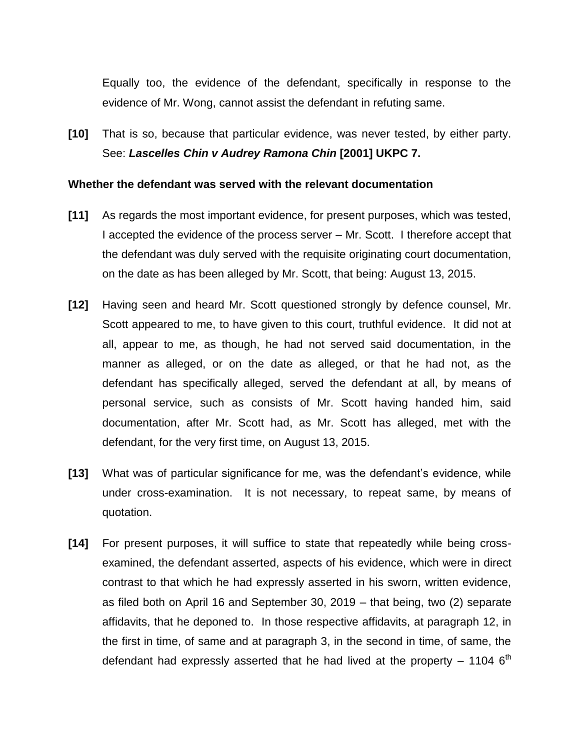Equally too, the evidence of the defendant, specifically in response to the evidence of Mr. Wong, cannot assist the defendant in refuting same.

**[10]** That is so, because that particular evidence, was never tested, by either party. See: *Lascelles Chin v Audrey Ramona Chin* **[2001] UKPC 7.**

#### **Whether the defendant was served with the relevant documentation**

- **[11]** As regards the most important evidence, for present purposes, which was tested, I accepted the evidence of the process server – Mr. Scott. I therefore accept that the defendant was duly served with the requisite originating court documentation, on the date as has been alleged by Mr. Scott, that being: August 13, 2015.
- **[12]** Having seen and heard Mr. Scott questioned strongly by defence counsel, Mr. Scott appeared to me, to have given to this court, truthful evidence. It did not at all, appear to me, as though, he had not served said documentation, in the manner as alleged, or on the date as alleged, or that he had not, as the defendant has specifically alleged, served the defendant at all, by means of personal service, such as consists of Mr. Scott having handed him, said documentation, after Mr. Scott had, as Mr. Scott has alleged, met with the defendant, for the very first time, on August 13, 2015.
- **[13]** What was of particular significance for me, was the defendant's evidence, while under cross-examination. It is not necessary, to repeat same, by means of quotation.
- **[14]** For present purposes, it will suffice to state that repeatedly while being crossexamined, the defendant asserted, aspects of his evidence, which were in direct contrast to that which he had expressly asserted in his sworn, written evidence, as filed both on April 16 and September 30, 2019 – that being, two (2) separate affidavits, that he deponed to. In those respective affidavits, at paragraph 12, in the first in time, of same and at paragraph 3, in the second in time, of same, the defendant had expressly asserted that he had lived at the property  $-1104$  6<sup>th</sup>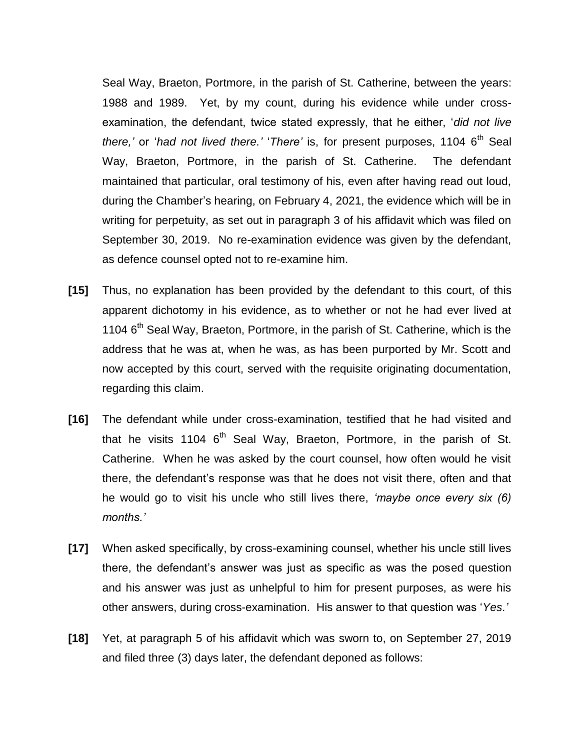Seal Way, Braeton, Portmore, in the parish of St. Catherine, between the years: 1988 and 1989. Yet, by my count, during his evidence while under crossexamination, the defendant, twice stated expressly, that he either, '*did not live there,'* or '*had not lived there.'* '*There'* is, for present purposes, 1104 6<sup>th</sup> Seal Way, Braeton, Portmore, in the parish of St. Catherine. The defendant maintained that particular, oral testimony of his, even after having read out loud, during the Chamber's hearing, on February 4, 2021, the evidence which will be in writing for perpetuity, as set out in paragraph 3 of his affidavit which was filed on September 30, 2019. No re-examination evidence was given by the defendant, as defence counsel opted not to re-examine him.

- **[15]** Thus, no explanation has been provided by the defendant to this court, of this apparent dichotomy in his evidence, as to whether or not he had ever lived at 1104  $6<sup>th</sup>$  Seal Way, Braeton, Portmore, in the parish of St. Catherine, which is the address that he was at, when he was, as has been purported by Mr. Scott and now accepted by this court, served with the requisite originating documentation, regarding this claim.
- **[16]** The defendant while under cross-examination, testified that he had visited and that he visits 1104  $6<sup>th</sup>$  Seal Way, Braeton, Portmore, in the parish of St. Catherine. When he was asked by the court counsel, how often would he visit there, the defendant's response was that he does not visit there, often and that he would go to visit his uncle who still lives there, *'maybe once every six (6) months.'*
- **[17]** When asked specifically, by cross-examining counsel, whether his uncle still lives there, the defendant's answer was just as specific as was the posed question and his answer was just as unhelpful to him for present purposes, as were his other answers, during cross-examination. His answer to that question was '*Yes.'*
- **[18]** Yet, at paragraph 5 of his affidavit which was sworn to, on September 27, 2019 and filed three (3) days later, the defendant deponed as follows: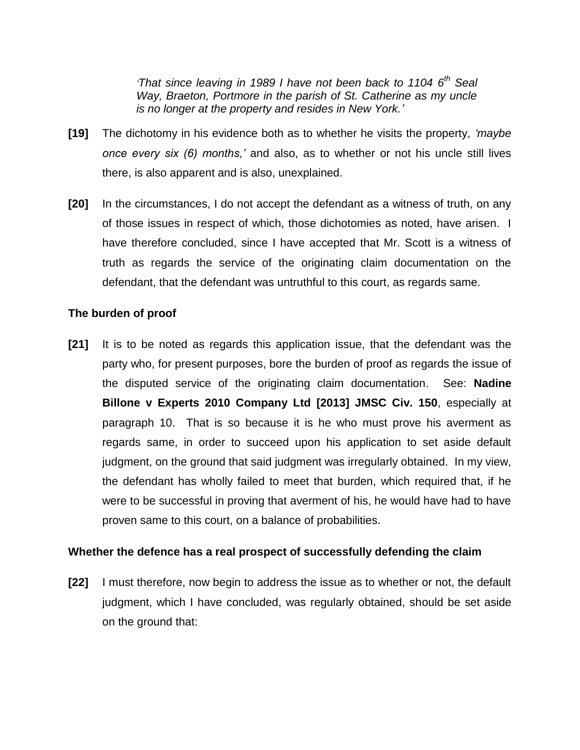*'That since leaving in 1989 I have not been back to 1104 6 th Seal Way, Braeton, Portmore in the parish of St. Catherine as my uncle is no longer at the property and resides in New York.'*

- **[19]** The dichotomy in his evidence both as to whether he visits the property, *'maybe once every six (6) months,'* and also, as to whether or not his uncle still lives there, is also apparent and is also, unexplained.
- **[20]** In the circumstances, I do not accept the defendant as a witness of truth, on any of those issues in respect of which, those dichotomies as noted, have arisen. I have therefore concluded, since I have accepted that Mr. Scott is a witness of truth as regards the service of the originating claim documentation on the defendant, that the defendant was untruthful to this court, as regards same.

## **The burden of proof**

**[21]** It is to be noted as regards this application issue, that the defendant was the party who, for present purposes, bore the burden of proof as regards the issue of the disputed service of the originating claim documentation. See: **Nadine Billone v Experts 2010 Company Ltd [2013] JMSC Civ. 150**, especially at paragraph 10. That is so because it is he who must prove his averment as regards same, in order to succeed upon his application to set aside default judgment, on the ground that said judgment was irregularly obtained. In my view, the defendant has wholly failed to meet that burden, which required that, if he were to be successful in proving that averment of his, he would have had to have proven same to this court, on a balance of probabilities.

#### **Whether the defence has a real prospect of successfully defending the claim**

**[22]** I must therefore, now begin to address the issue as to whether or not, the default judgment, which I have concluded, was regularly obtained, should be set aside on the ground that: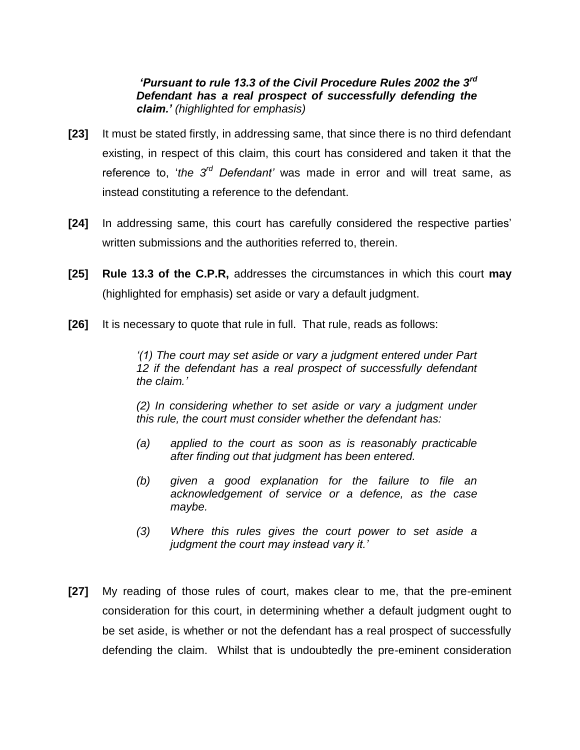# *'Pursuant to rule 13.3 of the Civil Procedure Rules 2002 the 3rd Defendant has a real prospect of successfully defending the claim.' (highlighted for emphasis)*

- **[23]** It must be stated firstly, in addressing same, that since there is no third defendant existing, in respect of this claim, this court has considered and taken it that the reference to, '*the 3rd Defendant'* was made in error and will treat same, as instead constituting a reference to the defendant.
- **[24]** In addressing same, this court has carefully considered the respective parties' written submissions and the authorities referred to, therein.
- **[25] Rule 13.3 of the C.P.R,** addresses the circumstances in which this court **may** (highlighted for emphasis) set aside or vary a default judgment.
- **[26]** It is necessary to quote that rule in full. That rule, reads as follows:

*'(1) The court may set aside or vary a judgment entered under Part 12 if the defendant has a real prospect of successfully defendant the claim.'*

*(2) In considering whether to set aside or vary a judgment under this rule, the court must consider whether the defendant has:*

- *(a) applied to the court as soon as is reasonably practicable after finding out that judgment has been entered.*
- *(b) given a good explanation for the failure to file an acknowledgement of service or a defence, as the case maybe.*
- *(3) Where this rules gives the court power to set aside a judgment the court may instead vary it.'*
- **[27]** My reading of those rules of court, makes clear to me, that the pre-eminent consideration for this court, in determining whether a default judgment ought to be set aside, is whether or not the defendant has a real prospect of successfully defending the claim. Whilst that is undoubtedly the pre-eminent consideration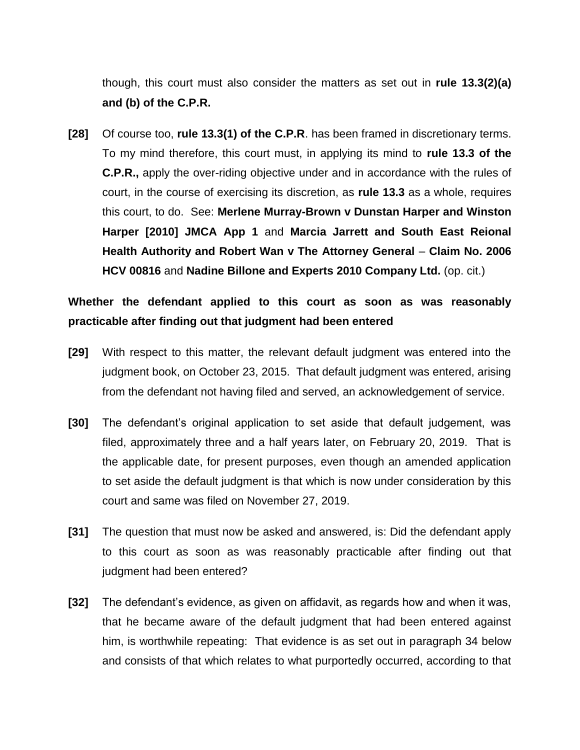though, this court must also consider the matters as set out in **rule 13.3(2)(a) and (b) of the C.P.R.**

**[28]** Of course too, **rule 13.3(1) of the C.P.R**. has been framed in discretionary terms. To my mind therefore, this court must, in applying its mind to **rule 13.3 of the C.P.R.,** apply the over-riding objective under and in accordance with the rules of court, in the course of exercising its discretion, as **rule 13.3** as a whole, requires this court, to do. See: **Merlene Murray-Brown v Dunstan Harper and Winston Harper [2010] JMCA App 1** and **Marcia Jarrett and South East Reional Health Authority and Robert Wan v The Attorney General** – **Claim No. 2006 HCV 00816** and **Nadine Billone and Experts 2010 Company Ltd.** (op. cit.)

# **Whether the defendant applied to this court as soon as was reasonably practicable after finding out that judgment had been entered**

- **[29]** With respect to this matter, the relevant default judgment was entered into the judgment book, on October 23, 2015. That default judgment was entered, arising from the defendant not having filed and served, an acknowledgement of service.
- **[30]** The defendant's original application to set aside that default judgement, was filed, approximately three and a half years later, on February 20, 2019. That is the applicable date, for present purposes, even though an amended application to set aside the default judgment is that which is now under consideration by this court and same was filed on November 27, 2019.
- **[31]** The question that must now be asked and answered, is: Did the defendant apply to this court as soon as was reasonably practicable after finding out that judgment had been entered?
- **[32]** The defendant's evidence, as given on affidavit, as regards how and when it was, that he became aware of the default judgment that had been entered against him, is worthwhile repeating: That evidence is as set out in paragraph 34 below and consists of that which relates to what purportedly occurred, according to that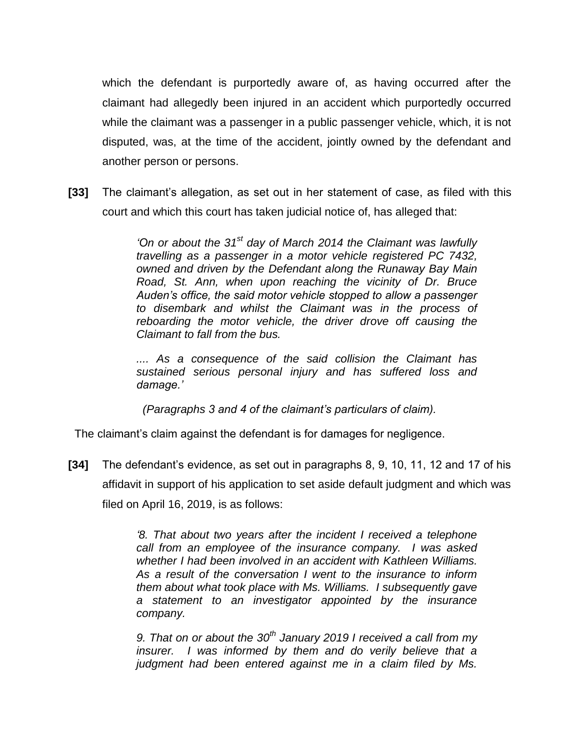which the defendant is purportedly aware of, as having occurred after the claimant had allegedly been injured in an accident which purportedly occurred while the claimant was a passenger in a public passenger vehicle, which, it is not disputed, was, at the time of the accident, jointly owned by the defendant and another person or persons.

**[33]** The claimant's allegation, as set out in her statement of case, as filed with this court and which this court has taken judicial notice of, has alleged that:

> *'On or about the 31st day of March 2014 the Claimant was lawfully travelling as a passenger in a motor vehicle registered PC 7432, owned and driven by the Defendant along the Runaway Bay Main Road, St. Ann, when upon reaching the vicinity of Dr. Bruce Auden's office, the said motor vehicle stopped to allow a passenger to disembark and whilst the Claimant was in the process of reboarding the motor vehicle, the driver drove off causing the Claimant to fall from the bus.*

> *.... As a consequence of the said collision the Claimant has sustained serious personal injury and has suffered loss and damage.'*

 *(Paragraphs 3 and 4 of the claimant's particulars of claim).*

The claimant's claim against the defendant is for damages for negligence.

**[34]** The defendant's evidence, as set out in paragraphs 8, 9, 10, 11, 12 and 17 of his affidavit in support of his application to set aside default judgment and which was filed on April 16, 2019, is as follows:

> *'8. That about two years after the incident I received a telephone call from an employee of the insurance company. I was asked whether I had been involved in an accident with Kathleen Williams. As a result of the conversation I went to the insurance to inform them about what took place with Ms. Williams. I subsequently gave a statement to an investigator appointed by the insurance company.*

> *9. That on or about the 30th January 2019 I received a call from my insurer. I was informed by them and do verily believe that a judgment had been entered against me in a claim filed by Ms.*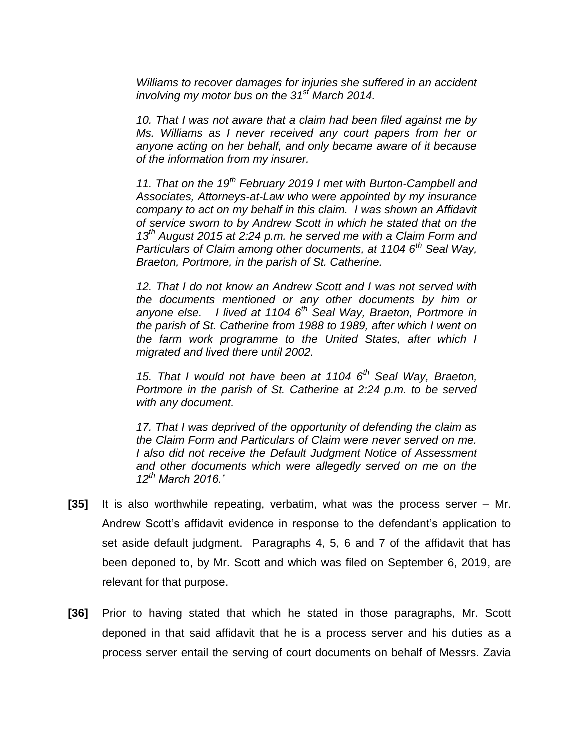*Williams to recover damages for injuries she suffered in an accident involving my motor bus on the 31st March 2014.*

*10. That I was not aware that a claim had been filed against me by Ms. Williams as I never received any court papers from her or anyone acting on her behalf, and only became aware of it because of the information from my insurer.*

*11. That on the 19th February 2019 I met with Burton-Campbell and Associates, Attorneys-at-Law who were appointed by my insurance company to act on my behalf in this claim. I was shown an Affidavit of service sworn to by Andrew Scott in which he stated that on the 13th August 2015 at 2:24 p.m. he served me with a Claim Form and Particulars of Claim among other documents, at 1104 6th Seal Way, Braeton, Portmore, in the parish of St. Catherine.*

*12. That I do not know an Andrew Scott and I was not served with the documents mentioned or any other documents by him or anyone else. I lived at 1104 6th Seal Way, Braeton, Portmore in the parish of St. Catherine from 1988 to 1989, after which I went on the farm work programme to the United States, after which I migrated and lived there until 2002.*

*15. That I would not have been at 1104 6th Seal Way, Braeton, Portmore in the parish of St. Catherine at 2:24 p.m. to be served with any document.*

*17. That I was deprived of the opportunity of defending the claim as the Claim Form and Particulars of Claim were never served on me. I also did not receive the Default Judgment Notice of Assessment and other documents which were allegedly served on me on the 12th March 2016.'*

- **[35]** It is also worthwhile repeating, verbatim, what was the process server Mr. Andrew Scott's affidavit evidence in response to the defendant's application to set aside default judgment. Paragraphs 4, 5, 6 and 7 of the affidavit that has been deponed to, by Mr. Scott and which was filed on September 6, 2019, are relevant for that purpose.
- **[36]** Prior to having stated that which he stated in those paragraphs, Mr. Scott deponed in that said affidavit that he is a process server and his duties as a process server entail the serving of court documents on behalf of Messrs. Zavia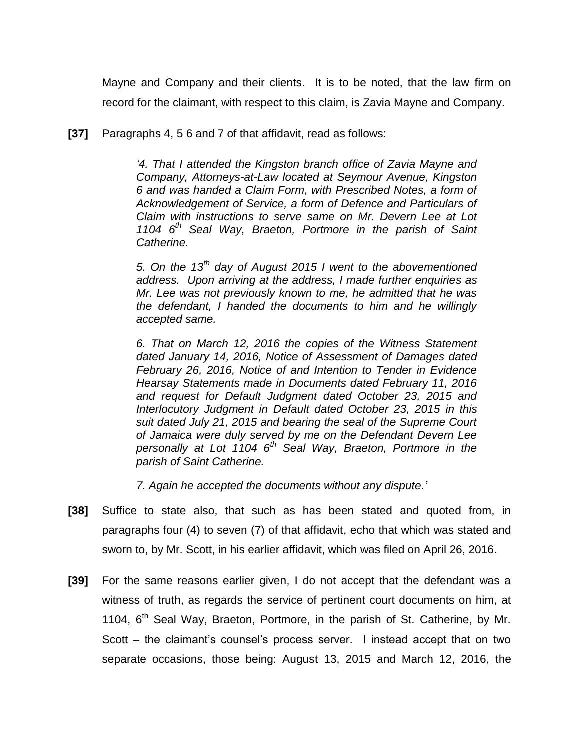Mayne and Company and their clients. It is to be noted, that the law firm on record for the claimant, with respect to this claim, is Zavia Mayne and Company.

**[37]** Paragraphs 4, 5 6 and 7 of that affidavit, read as follows:

*'4. That I attended the Kingston branch office of Zavia Mayne and Company, Attorneys-at-Law located at Seymour Avenue, Kingston 6 and was handed a Claim Form, with Prescribed Notes, a form of Acknowledgement of Service, a form of Defence and Particulars of Claim with instructions to serve same on Mr. Devern Lee at Lot 1104 6th Seal Way, Braeton, Portmore in the parish of Saint Catherine.*

*5. On the 13th day of August 2015 I went to the abovementioned address. Upon arriving at the address, I made further enquiries as Mr. Lee was not previously known to me, he admitted that he was the defendant, I handed the documents to him and he willingly accepted same.*

*6. That on March 12, 2016 the copies of the Witness Statement dated January 14, 2016, Notice of Assessment of Damages dated February 26, 2016, Notice of and Intention to Tender in Evidence Hearsay Statements made in Documents dated February 11, 2016 and request for Default Judgment dated October 23, 2015 and Interlocutory Judgment in Default dated October 23, 2015 in this suit dated July 21, 2015 and bearing the seal of the Supreme Court of Jamaica were duly served by me on the Defendant Devern Lee personally at Lot 1104 6th Seal Way, Braeton, Portmore in the parish of Saint Catherine.*

*7. Again he accepted the documents without any dispute.'*

- **[38]** Suffice to state also, that such as has been stated and quoted from, in paragraphs four (4) to seven (7) of that affidavit, echo that which was stated and sworn to, by Mr. Scott, in his earlier affidavit, which was filed on April 26, 2016.
- **[39]** For the same reasons earlier given, I do not accept that the defendant was a witness of truth, as regards the service of pertinent court documents on him, at 1104, 6<sup>th</sup> Seal Way, Braeton, Portmore, in the parish of St. Catherine, by Mr. Scott – the claimant's counsel's process server. I instead accept that on two separate occasions, those being: August 13, 2015 and March 12, 2016, the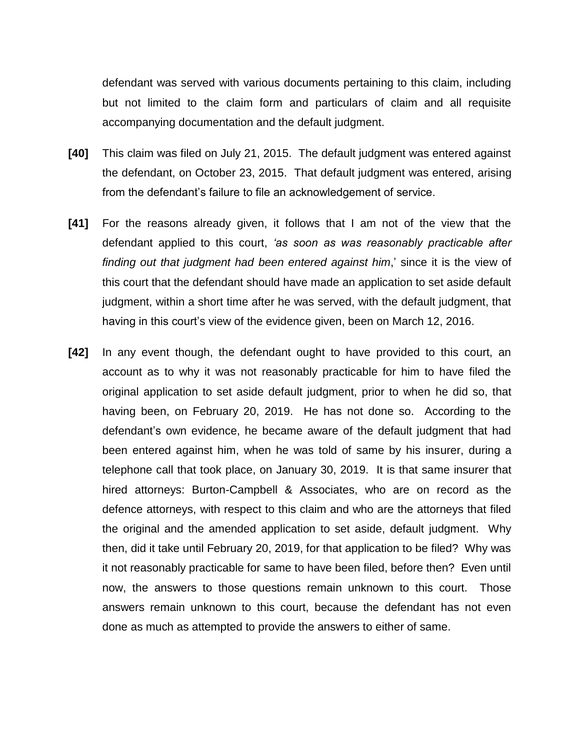defendant was served with various documents pertaining to this claim, including but not limited to the claim form and particulars of claim and all requisite accompanying documentation and the default judgment.

- **[40]** This claim was filed on July 21, 2015. The default judgment was entered against the defendant, on October 23, 2015. That default judgment was entered, arising from the defendant's failure to file an acknowledgement of service.
- **[41]** For the reasons already given, it follows that I am not of the view that the defendant applied to this court, *'as soon as was reasonably practicable after finding out that judgment had been entered against him*,' since it is the view of this court that the defendant should have made an application to set aside default judgment, within a short time after he was served, with the default judgment, that having in this court's view of the evidence given, been on March 12, 2016.
- **[42]** In any event though, the defendant ought to have provided to this court, an account as to why it was not reasonably practicable for him to have filed the original application to set aside default judgment, prior to when he did so, that having been, on February 20, 2019. He has not done so. According to the defendant's own evidence, he became aware of the default judgment that had been entered against him, when he was told of same by his insurer, during a telephone call that took place, on January 30, 2019. It is that same insurer that hired attorneys: Burton-Campbell & Associates, who are on record as the defence attorneys, with respect to this claim and who are the attorneys that filed the original and the amended application to set aside, default judgment. Why then, did it take until February 20, 2019, for that application to be filed? Why was it not reasonably practicable for same to have been filed, before then? Even until now, the answers to those questions remain unknown to this court. Those answers remain unknown to this court, because the defendant has not even done as much as attempted to provide the answers to either of same.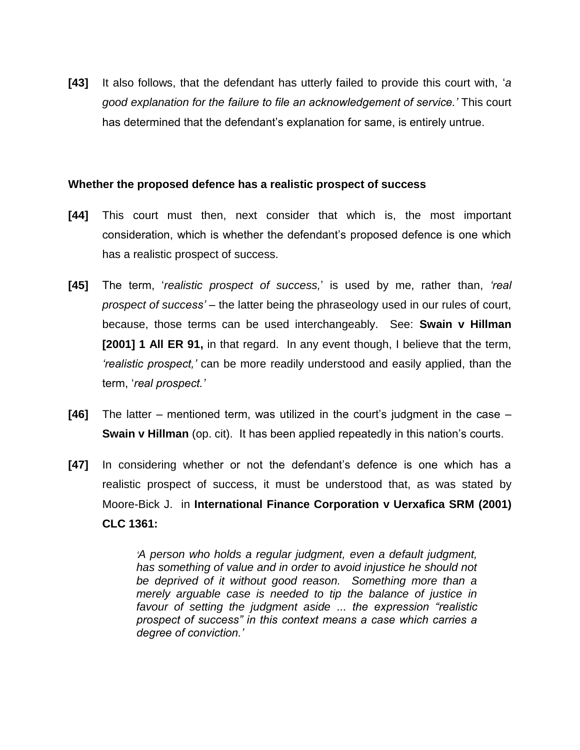**[43]** It also follows, that the defendant has utterly failed to provide this court with, '*a good explanation for the failure to file an acknowledgement of service.'* This court has determined that the defendant's explanation for same, is entirely untrue.

## **Whether the proposed defence has a realistic prospect of success**

- **[44]** This court must then, next consider that which is, the most important consideration, which is whether the defendant's proposed defence is one which has a realistic prospect of success.
- **[45]** The term, '*realistic prospect of success,*' is used by me, rather than, *'real prospect of success'* – the latter being the phraseology used in our rules of court, because, those terms can be used interchangeably. See: **Swain v Hillman [2001] 1 All ER 91,** in that regard. In any event though, I believe that the term, *'realistic prospect,'* can be more readily understood and easily applied, than the term, '*real prospect.'*
- **[46]** The latter mentioned term, was utilized in the court's judgment in the case **Swain v Hillman** (op. cit). It has been applied repeatedly in this nation's courts.
- **[47]** In considering whether or not the defendant's defence is one which has a realistic prospect of success, it must be understood that, as was stated by Moore-Bick J. in **International Finance Corporation v Uerxafica SRM (2001) CLC 1361:**

*'A person who holds a regular judgment, even a default judgment, has something of value and in order to avoid injustice he should not be deprived of it without good reason. Something more than a merely arguable case is needed to tip the balance of justice in favour of setting the judgment aside ... the expression "realistic prospect of success" in this context means a case which carries a degree of conviction.'*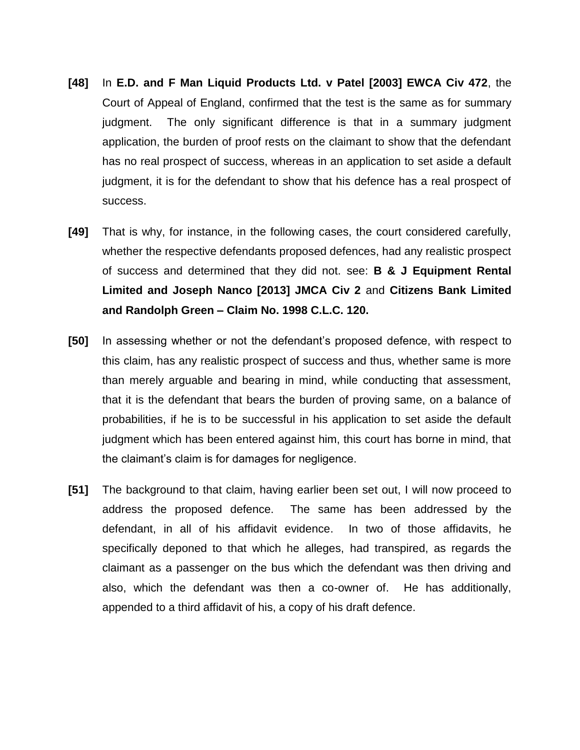- **[48]** In **E.D. and F Man Liquid Products Ltd. v Patel [2003] EWCA Civ 472**, the Court of Appeal of England, confirmed that the test is the same as for summary judgment. The only significant difference is that in a summary judgment application, the burden of proof rests on the claimant to show that the defendant has no real prospect of success, whereas in an application to set aside a default judgment, it is for the defendant to show that his defence has a real prospect of success.
- **[49]** That is why, for instance, in the following cases, the court considered carefully, whether the respective defendants proposed defences, had any realistic prospect of success and determined that they did not. see: **B & J Equipment Rental Limited and Joseph Nanco [2013] JMCA Civ 2** and **Citizens Bank Limited and Randolph Green – Claim No. 1998 C.L.C. 120.**
- **[50]** In assessing whether or not the defendant's proposed defence, with respect to this claim, has any realistic prospect of success and thus, whether same is more than merely arguable and bearing in mind, while conducting that assessment, that it is the defendant that bears the burden of proving same, on a balance of probabilities, if he is to be successful in his application to set aside the default judgment which has been entered against him, this court has borne in mind, that the claimant's claim is for damages for negligence.
- **[51]** The background to that claim, having earlier been set out, I will now proceed to address the proposed defence. The same has been addressed by the defendant, in all of his affidavit evidence. In two of those affidavits, he specifically deponed to that which he alleges, had transpired, as regards the claimant as a passenger on the bus which the defendant was then driving and also, which the defendant was then a co-owner of. He has additionally, appended to a third affidavit of his, a copy of his draft defence.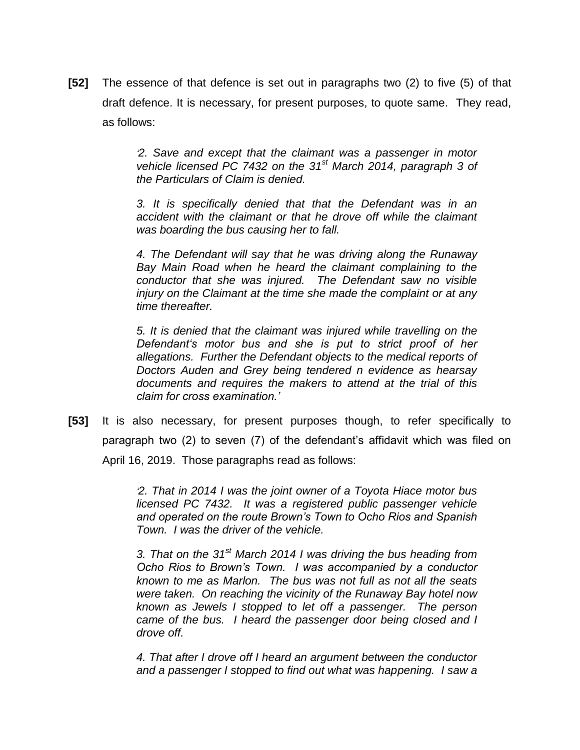**[52]** The essence of that defence is set out in paragraphs two (2) to five (5) of that draft defence. It is necessary, for present purposes, to quote same. They read, as follows:

> *'2. Save and except that the claimant was a passenger in motor vehicle licensed PC 7432 on the 31st March 2014, paragraph 3 of the Particulars of Claim is denied.*

> *3. It is specifically denied that that the Defendant was in an accident with the claimant or that he drove off while the claimant was boarding the bus causing her to fall.*

> *4. The Defendant will say that he was driving along the Runaway Bay Main Road when he heard the claimant complaining to the conductor that she was injured. The Defendant saw no visible injury on the Claimant at the time she made the complaint or at any time thereafter.*

> *5. It is denied that the claimant was injured while travelling on the Defendant's motor bus and she is put to strict proof of her allegations. Further the Defendant objects to the medical reports of Doctors Auden and Grey being tendered n evidence as hearsay documents and requires the makers to attend at the trial of this claim for cross examination.'*

**[53]** It is also necessary, for present purposes though, to refer specifically to paragraph two (2) to seven (7) of the defendant's affidavit which was filed on April 16, 2019. Those paragraphs read as follows:

> *'2. That in 2014 I was the joint owner of a Toyota Hiace motor bus licensed PC 7432. It was a registered public passenger vehicle and operated on the route Brown's Town to Ocho Rios and Spanish Town. I was the driver of the vehicle.*

> *3. That on the 31st March 2014 I was driving the bus heading from Ocho Rios to Brown's Town. I was accompanied by a conductor known to me as Marlon. The bus was not full as not all the seats were taken. On reaching the vicinity of the Runaway Bay hotel now known as Jewels I stopped to let off a passenger. The person came of the bus. I heard the passenger door being closed and I drove off.*

> *4. That after I drove off I heard an argument between the conductor and a passenger I stopped to find out what was happening. I saw a*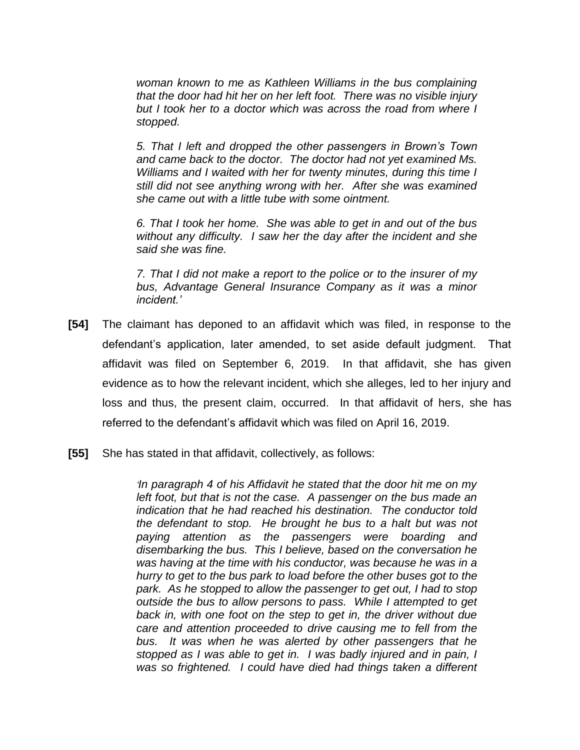*woman known to me as Kathleen Williams in the bus complaining that the door had hit her on her left foot. There was no visible injury but I took her to a doctor which was across the road from where I stopped.*

*5. That I left and dropped the other passengers in Brown's Town and came back to the doctor. The doctor had not yet examined Ms. Williams and I waited with her for twenty minutes, during this time I still did not see anything wrong with her. After she was examined she came out with a little tube with some ointment.*

*6. That I took her home. She was able to get in and out of the bus without any difficulty. I saw her the day after the incident and she said she was fine.* 

*7. That I did not make a report to the police or to the insurer of my bus, Advantage General Insurance Company as it was a minor incident.'* 

- **[54]** The claimant has deponed to an affidavit which was filed, in response to the defendant's application, later amended, to set aside default judgment. That affidavit was filed on September 6, 2019. In that affidavit, she has given evidence as to how the relevant incident, which she alleges, led to her injury and loss and thus, the present claim, occurred. In that affidavit of hers, she has referred to the defendant's affidavit which was filed on April 16, 2019.
- **[55]** She has stated in that affidavit, collectively, as follows:

*'In paragraph 4 of his Affidavit he stated that the door hit me on my left foot, but that is not the case. A passenger on the bus made an indication that he had reached his destination. The conductor told the defendant to stop. He brought he bus to a halt but was not paying attention as the passengers were boarding and disembarking the bus. This I believe, based on the conversation he was having at the time with his conductor, was because he was in a hurry to get to the bus park to load before the other buses got to the park. As he stopped to allow the passenger to get out, I had to stop outside the bus to allow persons to pass. While I attempted to get back in, with one foot on the step to get in, the driver without due care and attention proceeded to drive causing me to fell from the bus. It was when he was alerted by other passengers that he stopped as I was able to get in. I was badly injured and in pain, I was so frightened. I could have died had things taken a different*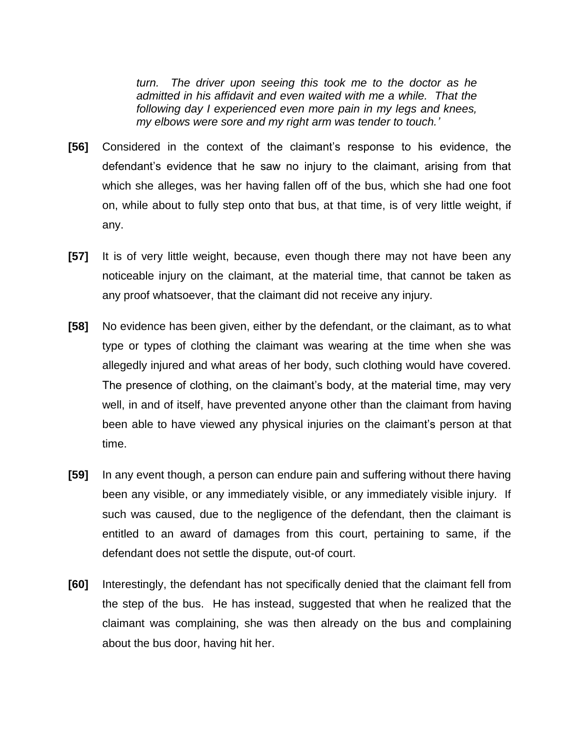*turn. The driver upon seeing this took me to the doctor as he admitted in his affidavit and even waited with me a while. That the following day I experienced even more pain in my legs and knees, my elbows were sore and my right arm was tender to touch.'*

- **[56]** Considered in the context of the claimant's response to his evidence, the defendant's evidence that he saw no injury to the claimant, arising from that which she alleges, was her having fallen off of the bus, which she had one foot on, while about to fully step onto that bus, at that time, is of very little weight, if any.
- **[57]** It is of very little weight, because, even though there may not have been any noticeable injury on the claimant, at the material time, that cannot be taken as any proof whatsoever, that the claimant did not receive any injury.
- **[58]** No evidence has been given, either by the defendant, or the claimant, as to what type or types of clothing the claimant was wearing at the time when she was allegedly injured and what areas of her body, such clothing would have covered. The presence of clothing, on the claimant's body, at the material time, may very well, in and of itself, have prevented anyone other than the claimant from having been able to have viewed any physical injuries on the claimant's person at that time.
- **[59]** In any event though, a person can endure pain and suffering without there having been any visible, or any immediately visible, or any immediately visible injury. If such was caused, due to the negligence of the defendant, then the claimant is entitled to an award of damages from this court, pertaining to same, if the defendant does not settle the dispute, out-of court.
- **[60]** Interestingly, the defendant has not specifically denied that the claimant fell from the step of the bus. He has instead, suggested that when he realized that the claimant was complaining, she was then already on the bus and complaining about the bus door, having hit her.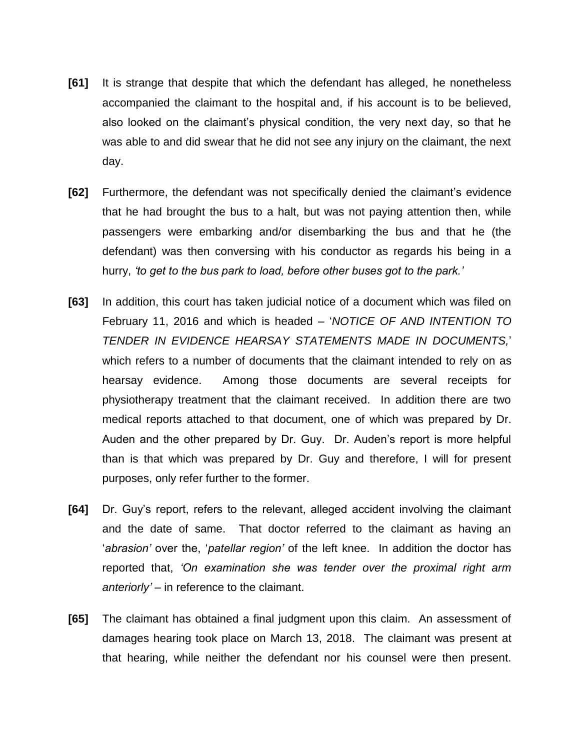- **[61]** It is strange that despite that which the defendant has alleged, he nonetheless accompanied the claimant to the hospital and, if his account is to be believed, also looked on the claimant's physical condition, the very next day, so that he was able to and did swear that he did not see any injury on the claimant, the next day.
- **[62]** Furthermore, the defendant was not specifically denied the claimant's evidence that he had brought the bus to a halt, but was not paying attention then, while passengers were embarking and/or disembarking the bus and that he (the defendant) was then conversing with his conductor as regards his being in a hurry, *'to get to the bus park to load, before other buses got to the park.'*
- **[63]** In addition, this court has taken judicial notice of a document which was filed on February 11, 2016 and which is headed – '*NOTICE OF AND INTENTION TO TENDER IN EVIDENCE HEARSAY STATEMENTS MADE IN DOCUMENTS,*' which refers to a number of documents that the claimant intended to rely on as hearsay evidence. Among those documents are several receipts for physiotherapy treatment that the claimant received. In addition there are two medical reports attached to that document, one of which was prepared by Dr. Auden and the other prepared by Dr. Guy. Dr. Auden's report is more helpful than is that which was prepared by Dr. Guy and therefore, I will for present purposes, only refer further to the former.
- **[64]** Dr. Guy's report, refers to the relevant, alleged accident involving the claimant and the date of same. That doctor referred to the claimant as having an '*abrasion'* over the, '*patellar region'* of the left knee. In addition the doctor has reported that, *'On examination she was tender over the proximal right arm anteriorly' –* in reference to the claimant.
- **[65]** The claimant has obtained a final judgment upon this claim. An assessment of damages hearing took place on March 13, 2018. The claimant was present at that hearing, while neither the defendant nor his counsel were then present.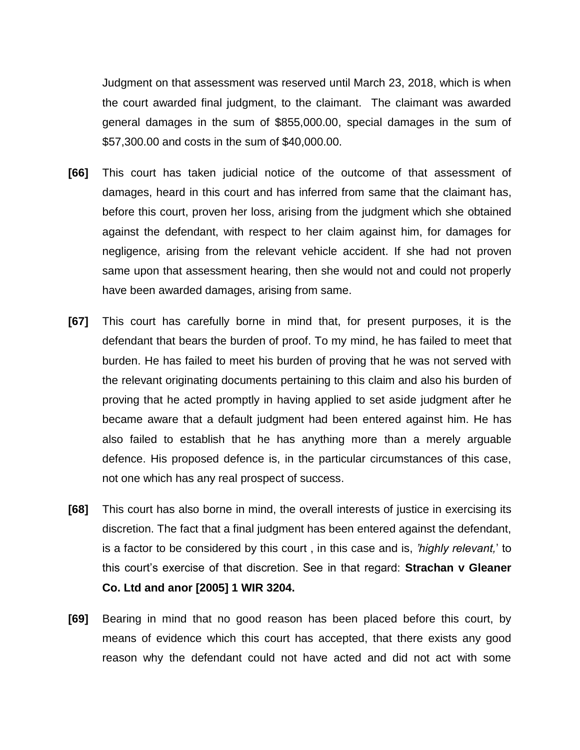Judgment on that assessment was reserved until March 23, 2018, which is when the court awarded final judgment, to the claimant. The claimant was awarded general damages in the sum of \$855,000.00, special damages in the sum of \$57,300.00 and costs in the sum of \$40,000.00.

- **[66]** This court has taken judicial notice of the outcome of that assessment of damages, heard in this court and has inferred from same that the claimant has, before this court, proven her loss, arising from the judgment which she obtained against the defendant, with respect to her claim against him, for damages for negligence, arising from the relevant vehicle accident. If she had not proven same upon that assessment hearing, then she would not and could not properly have been awarded damages, arising from same.
- **[67]** This court has carefully borne in mind that, for present purposes, it is the defendant that bears the burden of proof. To my mind, he has failed to meet that burden. He has failed to meet his burden of proving that he was not served with the relevant originating documents pertaining to this claim and also his burden of proving that he acted promptly in having applied to set aside judgment after he became aware that a default judgment had been entered against him. He has also failed to establish that he has anything more than a merely arguable defence. His proposed defence is, in the particular circumstances of this case, not one which has any real prospect of success.
- **[68]** This court has also borne in mind, the overall interests of justice in exercising its discretion. The fact that a final judgment has been entered against the defendant, is a factor to be considered by this court , in this case and is, *'highly relevant,*' to this court's exercise of that discretion. See in that regard: **Strachan v Gleaner Co. Ltd and anor [2005] 1 WIR 3204.**
- **[69]** Bearing in mind that no good reason has been placed before this court, by means of evidence which this court has accepted, that there exists any good reason why the defendant could not have acted and did not act with some